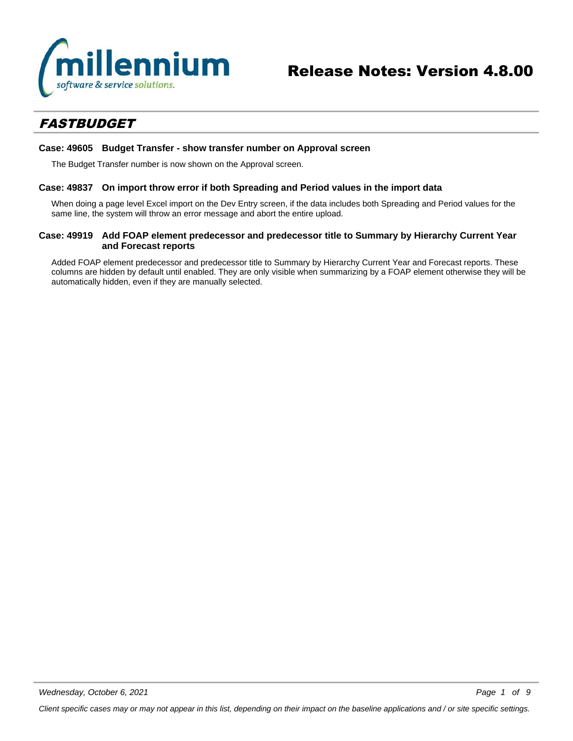

### *FASTBUDGET*

#### **Case: 49605 Budget Transfer - show transfer number on Approval screen**

The Budget Transfer number is now shown on the Approval screen.

#### **Case: 49837 On import throw error if both Spreading and Period values in the import data**

When doing a page level Excel import on the Dev Entry screen, if the data includes both Spreading and Period values for the same line, the system will throw an error message and abort the entire upload.

#### **Case: 49919 Add FOAP element predecessor and predecessor title to Summary by Hierarchy Current Year and Forecast reports**

Added FOAP element predecessor and predecessor title to Summary by Hierarchy Current Year and Forecast reports. These columns are hidden by default until enabled. They are only visible when summarizing by a FOAP element otherwise they will be automatically hidden, even if they are manually selected.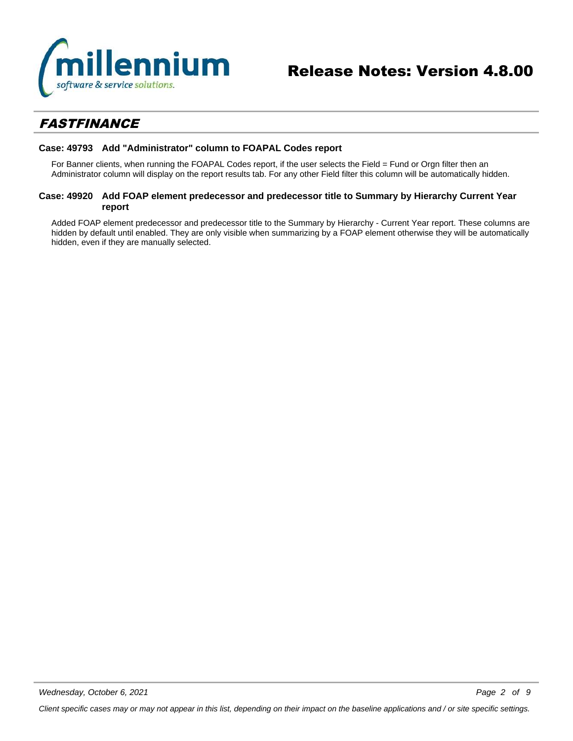

### *FASTFINANCE*

#### **Case: 49793 Add "Administrator" column to FOAPAL Codes report**

For Banner clients, when running the FOAPAL Codes report, if the user selects the Field = Fund or Orgn filter then an Administrator column will display on the report results tab. For any other Field filter this column will be automatically hidden.

#### **Case: 49920 Add FOAP element predecessor and predecessor title to Summary by Hierarchy Current Year report**

Added FOAP element predecessor and predecessor title to the Summary by Hierarchy - Current Year report. These columns are hidden by default until enabled. They are only visible when summarizing by a FOAP element otherwise they will be automatically hidden, even if they are manually selected.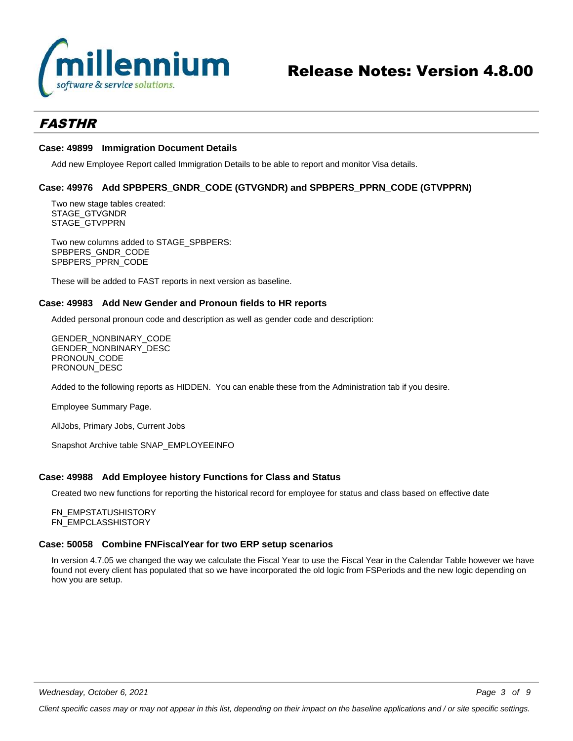

### *FASTHR*

#### **Case: 49899 Immigration Document Details**

Add new Employee Report called Immigration Details to be able to report and monitor Visa details.

#### **Case: 49976 Add SPBPERS\_GNDR\_CODE (GTVGNDR) and SPBPERS\_PPRN\_CODE (GTVPPRN)**

Two new stage tables created: STAGE\_GTVGNDR STAGE\_GTVPPRN

Two new columns added to STAGE\_SPBPERS: SPBPERS\_GNDR\_CODE SPBPERS\_PPRN\_CODE

These will be added to FAST reports in next version as baseline.

#### **Case: 49983 Add New Gender and Pronoun fields to HR reports**

Added personal pronoun code and description as well as gender code and description:

GENDER\_NONBINARY\_CODE GENDER\_NONBINARY\_DESC PRONOUN\_CODE PRONOUN DESC

Added to the following reports as HIDDEN. You can enable these from the Administration tab if you desire.

Employee Summary Page.

AllJobs, Primary Jobs, Current Jobs

Snapshot Archive table SNAP\_EMPLOYEEINFO

#### **Case: 49988 Add Employee history Functions for Class and Status**

Created two new functions for reporting the historical record for employee for status and class based on effective date

FN\_EMPSTATUSHISTORY FN\_EMPCLASSHISTORY

#### **Case: 50058 Combine FNFiscalYear for two ERP setup scenarios**

In version 4.7.05 we changed the way we calculate the Fiscal Year to use the Fiscal Year in the Calendar Table however we have found not every client has populated that so we have incorporated the old logic from FSPeriods and the new logic depending on how you are setup.

*Wednesday, October 6, 2021*

*Client specific cases may or may not appear in this list, depending on their impact on the baseline applications and / or site specific settings.*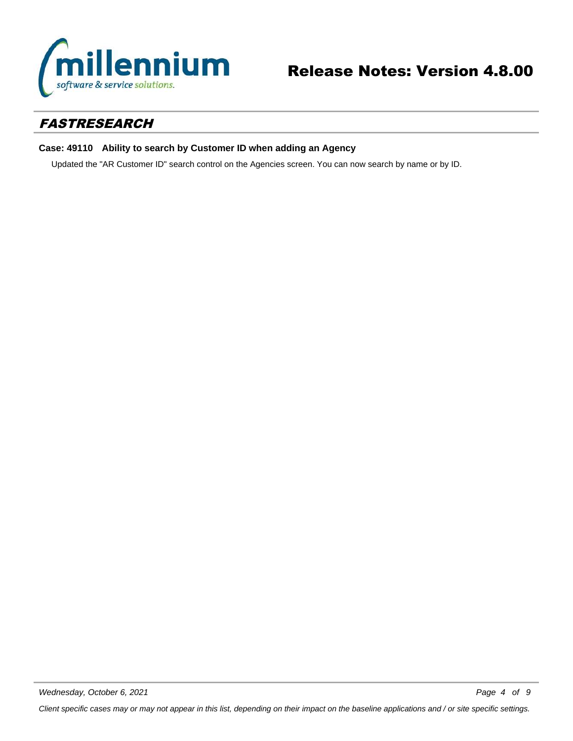

# Release Notes: Version 4.8.00

### *FASTRESEARCH*

#### **Case: 49110 Ability to search by Customer ID when adding an Agency**

Updated the "AR Customer ID" search control on the Agencies screen. You can now search by name or by ID.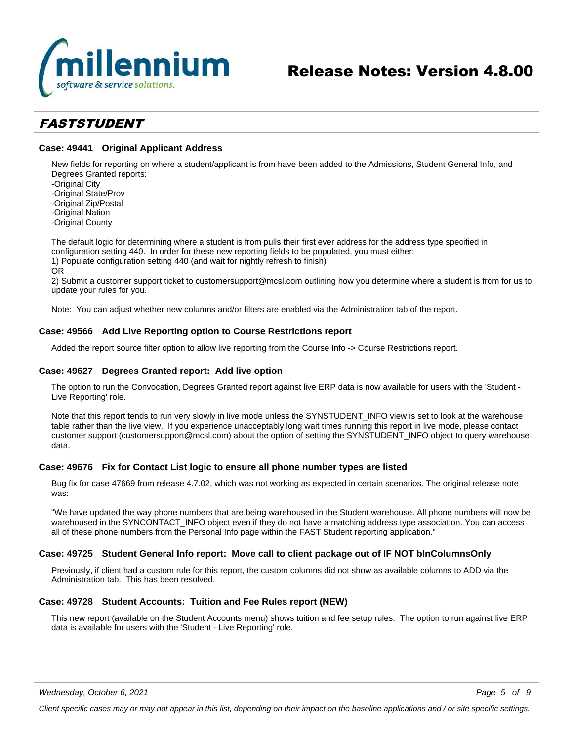

### *FASTSTUDENT*

#### **Case: 49441 Original Applicant Address**

New fields for reporting on where a student/applicant is from have been added to the Admissions, Student General Info, and Degrees Granted reports:

-Original City

-Original State/Prov

-Original Zip/Postal

-Original Nation

-Original County

The default logic for determining where a student is from pulls their first ever address for the address type specified in configuration setting 440. In order for these new reporting fields to be populated, you must either: 1) Populate configuration setting 440 (and wait for nightly refresh to finish)

OR

2) Submit a customer support ticket to customersupport@mcsl.com outlining how you determine where a student is from for us to update your rules for you.

Note: You can adjust whether new columns and/or filters are enabled via the Administration tab of the report.

#### **Case: 49566 Add Live Reporting option to Course Restrictions report**

Added the report source filter option to allow live reporting from the Course Info -> Course Restrictions report.

#### **Case: 49627 Degrees Granted report: Add live option**

The option to run the Convocation, Degrees Granted report against live ERP data is now available for users with the 'Student - Live Reporting' role.

Note that this report tends to run very slowly in live mode unless the SYNSTUDENT\_INFO view is set to look at the warehouse table rather than the live view. If you experience unacceptably long wait times running this report in live mode, please contact customer support (customersupport@mcsl.com) about the option of setting the SYNSTUDENT\_INFO object to query warehouse data.

#### **Case: 49676 Fix for Contact List logic to ensure all phone number types are listed**

Bug fix for case 47669 from release 4.7.02, which was not working as expected in certain scenarios. The original release note was:

"We have updated the way phone numbers that are being warehoused in the Student warehouse. All phone numbers will now be warehoused in the SYNCONTACT\_INFO object even if they do not have a matching address type association. You can access all of these phone numbers from the Personal Info page within the FAST Student reporting application."

#### **Case: 49725 Student General Info report: Move call to client package out of IF NOT blnColumnsOnly**

Previously, if client had a custom rule for this report, the custom columns did not show as available columns to ADD via the Administration tab. This has been resolved.

#### **Case: 49728 Student Accounts: Tuition and Fee Rules report (NEW)**

This new report (available on the Student Accounts menu) shows tuition and fee setup rules. The option to run against live ERP data is available for users with the 'Student - Live Reporting' role.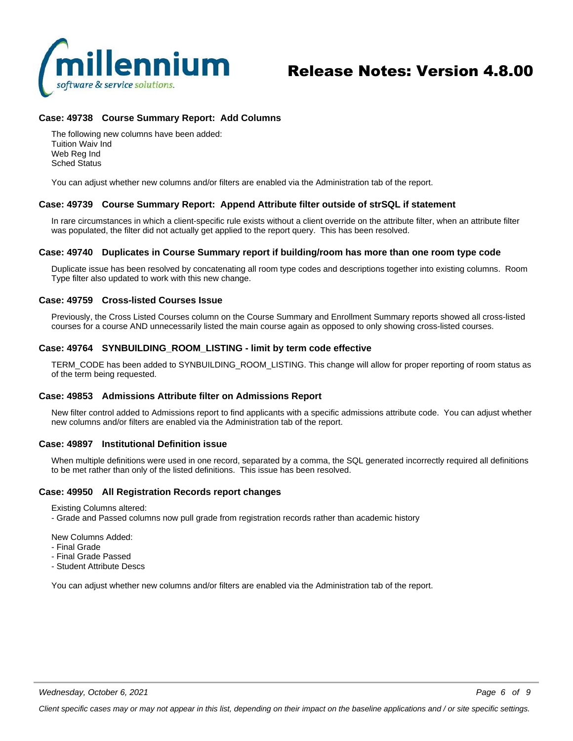

## Release Notes: Version 4.8.00

#### **Case: 49738 Course Summary Report: Add Columns**

The following new columns have been added: Tuition Waiv Ind Web Reg Ind Sched Status

You can adjust whether new columns and/or filters are enabled via the Administration tab of the report.

#### **Case: 49739 Course Summary Report: Append Attribute filter outside of strSQL if statement**

In rare circumstances in which a client-specific rule exists without a client override on the attribute filter, when an attribute filter was populated, the filter did not actually get applied to the report query. This has been resolved.

#### **Case: 49740 Duplicates in Course Summary report if building/room has more than one room type code**

Duplicate issue has been resolved by concatenating all room type codes and descriptions together into existing columns. Room Type filter also updated to work with this new change.

#### **Case: 49759 Cross-listed Courses Issue**

Previously, the Cross Listed Courses column on the Course Summary and Enrollment Summary reports showed all cross-listed courses for a course AND unnecessarily listed the main course again as opposed to only showing cross-listed courses.

#### **Case: 49764 SYNBUILDING\_ROOM\_LISTING - limit by term code effective**

TERM\_CODE has been added to SYNBUILDING\_ROOM\_LISTING. This change will allow for proper reporting of room status as of the term being requested.

#### **Case: 49853 Admissions Attribute filter on Admissions Report**

New filter control added to Admissions report to find applicants with a specific admissions attribute code. You can adjust whether new columns and/or filters are enabled via the Administration tab of the report.

#### **Case: 49897 Institutional Definition issue**

When multiple definitions were used in one record, separated by a comma, the SQL generated incorrectly required all definitions to be met rather than only of the listed definitions. This issue has been resolved.

#### **Case: 49950 All Registration Records report changes**

Existing Columns altered:

- Grade and Passed columns now pull grade from registration records rather than academic history

New Columns Added:

- Final Grade
- Final Grade Passed
- Student Attribute Descs

You can adjust whether new columns and/or filters are enabled via the Administration tab of the report.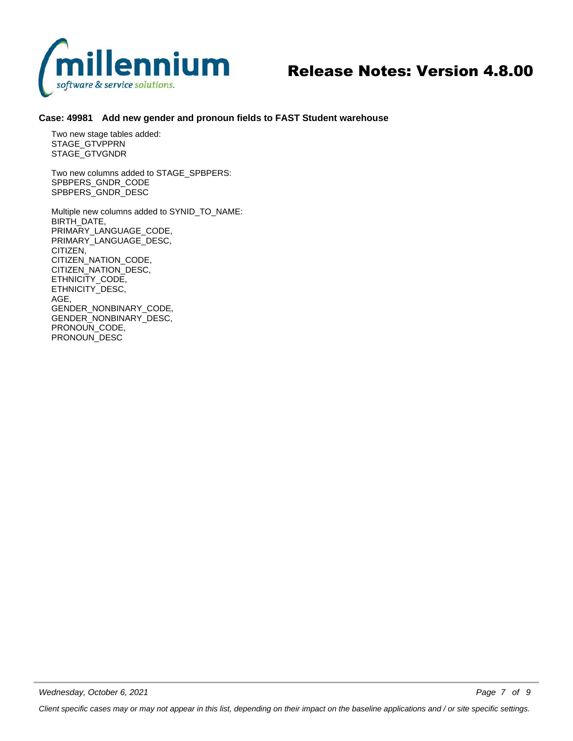

## Release Notes: Version 4.8.00

#### **Case: 49981 Add new gender and pronoun fields to FAST Student warehouse**

Two new stage tables added: STAGE\_GTVPPRN STAGE\_GTVGNDR

Two new columns added to STAGE\_SPBPERS: SPBPERS\_GNDR\_CODE SPBPERS\_GNDR\_DESC

Multiple new columns added to SYNID\_TO\_NAME: BIRTH\_DATE, PRIMARY\_LANGUAGE\_CODE, PRIMARY\_LANGUAGE\_DESC, CITIZEN, CITIZEN\_NATION\_CODE, CITIZEN\_NATION\_DESC, ETHNICITY\_CODE, ETHNICITY\_DESC, AGE, GENDER\_NONBINARY\_CODE, GENDER\_NONBINARY\_DESC, PRONOUN\_CODE, PRONOUN\_DESC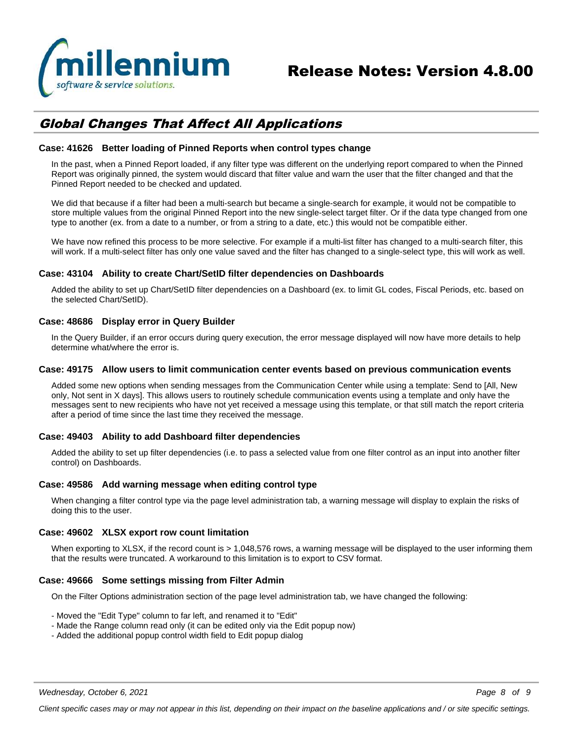

### *Global Changes That Affect All Applications*

#### **Case: 41626 Better loading of Pinned Reports when control types change**

In the past, when a Pinned Report loaded, if any filter type was different on the underlying report compared to when the Pinned Report was originally pinned, the system would discard that filter value and warn the user that the filter changed and that the Pinned Report needed to be checked and updated.

We did that because if a filter had been a multi-search but became a single-search for example, it would not be compatible to store multiple values from the original Pinned Report into the new single-select target filter. Or if the data type changed from one type to another (ex. from a date to a number, or from a string to a date, etc.) this would not be compatible either.

We have now refined this process to be more selective. For example if a multi-list filter has changed to a multi-search filter, this will work. If a multi-select filter has only one value saved and the filter has changed to a single-select type, this will work as well.

#### **Case: 43104 Ability to create Chart/SetID filter dependencies on Dashboards**

Added the ability to set up Chart/SetID filter dependencies on a Dashboard (ex. to limit GL codes, Fiscal Periods, etc. based on the selected Chart/SetID).

#### **Case: 48686 Display error in Query Builder**

In the Query Builder, if an error occurs during query execution, the error message displayed will now have more details to help determine what/where the error is.

#### **Case: 49175 Allow users to limit communication center events based on previous communication events**

Added some new options when sending messages from the Communication Center while using a template: Send to [All, New only, Not sent in X days]. This allows users to routinely schedule communication events using a template and only have the messages sent to new recipients who have not yet received a message using this template, or that still match the report criteria after a period of time since the last time they received the message.

#### **Case: 49403 Ability to add Dashboard filter dependencies**

Added the ability to set up filter dependencies (i.e. to pass a selected value from one filter control as an input into another filter control) on Dashboards.

#### **Case: 49586 Add warning message when editing control type**

When changing a filter control type via the page level administration tab, a warning message will display to explain the risks of doing this to the user.

#### **Case: 49602 XLSX export row count limitation**

When exporting to XLSX, if the record count is > 1,048,576 rows, a warning message will be displayed to the user informing them that the results were truncated. A workaround to this limitation is to export to CSV format.

#### **Case: 49666 Some settings missing from Filter Admin**

On the Filter Options administration section of the page level administration tab, we have changed the following:

- Moved the "Edit Type" column to far left, and renamed it to "Edit"
- Made the Range column read only (it can be edited only via the Edit popup now)
- Added the additional popup control width field to Edit popup dialog